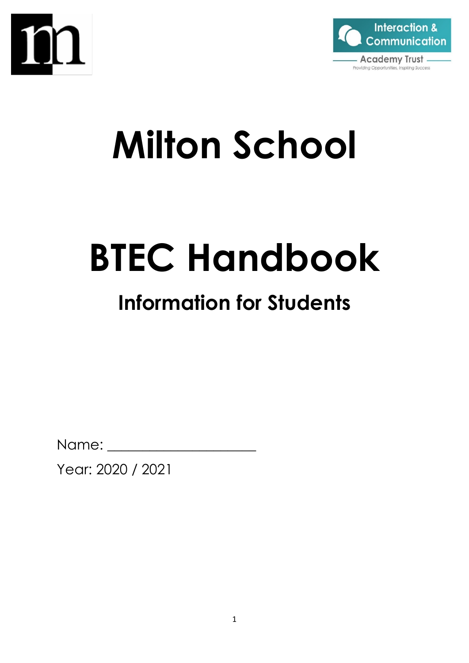



# **Milton School**

# **BTEC Handbook**

# **Information for Students**

Name:

Year: 2020 / 2021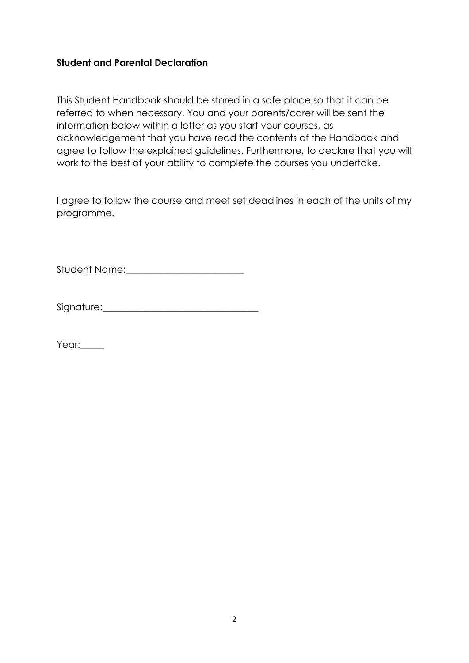#### **Student and Parental Declaration**

This Student Handbook should be stored in a safe place so that it can be referred to when necessary. You and your parents/carer will be sent the information below within a letter as you start your courses, as acknowledgement that you have read the contents of the Handbook and agree to follow the explained guidelines. Furthermore, to declare that you will work to the best of your ability to complete the courses you undertake.

I agree to follow the course and meet set deadlines in each of the units of my programme.

Student Name:

Signature:\_\_\_\_\_\_\_\_\_\_\_\_\_\_\_\_\_\_\_\_\_\_\_\_\_\_\_\_\_\_\_\_\_

Year: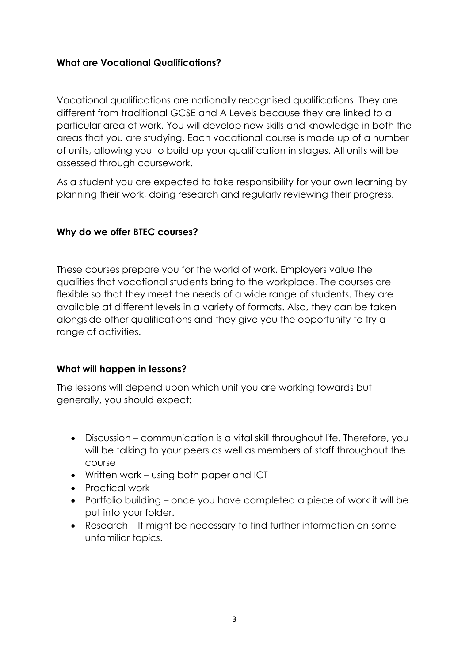### **What are Vocational Qualifications?**

Vocational qualifications are nationally recognised qualifications. They are different from traditional GCSE and A Levels because they are linked to a particular area of work. You will develop new skills and knowledge in both the areas that you are studying. Each vocational course is made up of a number of units, allowing you to build up your qualification in stages. All units will be assessed through coursework.

As a student you are expected to take responsibility for your own learning by planning their work, doing research and regularly reviewing their progress.

#### **Why do we offer BTEC courses?**

These courses prepare you for the world of work. Employers value the qualities that vocational students bring to the workplace. The courses are flexible so that they meet the needs of a wide range of students. They are available at different levels in a variety of formats. Also, they can be taken alongside other qualifications and they give you the opportunity to try a range of activities.

# **What will happen in lessons?**

The lessons will depend upon which unit you are working towards but generally, you should expect:

- Discussion communication is a vital skill throughout life. Therefore, you will be talking to your peers as well as members of staff throughout the course
- Written work using both paper and ICT
- Practical work
- Portfolio building once you have completed a piece of work it will be put into your folder.
- Research It might be necessary to find further information on some unfamiliar topics.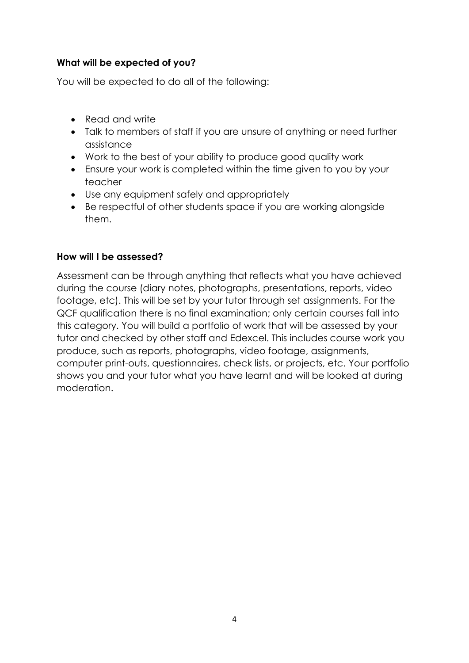# **What will be expected of you?**

You will be expected to do all of the following:

- Read and write
- Talk to members of staff if you are unsure of anything or need further assistance
- Work to the best of your ability to produce good quality work
- Ensure your work is completed within the time given to you by your teacher
- Use any equipment safely and appropriately
- Be respectful of other students space if you are working alongside them.

### **How will I be assessed?**

Assessment can be through anything that reflects what you have achieved during the course (diary notes, photographs, presentations, reports, video footage, etc). This will be set by your tutor through set assignments. For the QCF qualification there is no final examination; only certain courses fall into this category. You will build a portfolio of work that will be assessed by your tutor and checked by other staff and Edexcel. This includes course work you produce, such as reports, photographs, video footage, assignments, computer print-outs, questionnaires, check lists, or projects, etc. Your portfolio shows you and your tutor what you have learnt and will be looked at during moderation.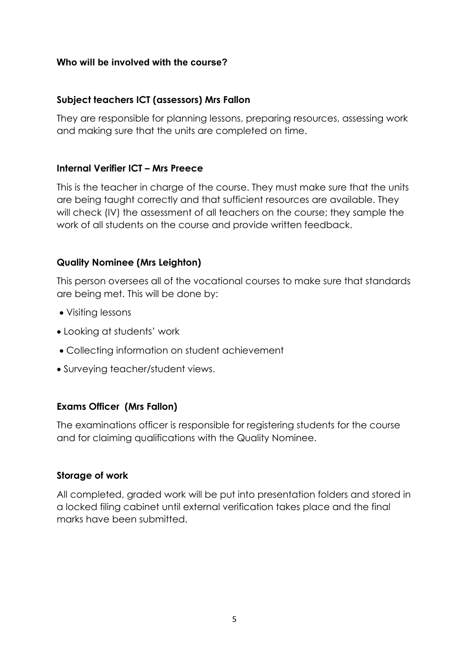#### **Who will be involved with the course?**

# **Subject teachers ICT (assessors) Mrs Fallon**

They are responsible for planning lessons, preparing resources, assessing work and making sure that the units are completed on time.

#### **Internal Verifier ICT – Mrs Preece**

This is the teacher in charge of the course. They must make sure that the units are being taught correctly and that sufficient resources are available. They will check (IV) the assessment of all teachers on the course; they sample the work of all students on the course and provide written feedback.

#### **Quality Nominee (Mrs Leighton)**

This person oversees all of the vocational courses to make sure that standards are being met. This will be done by:

- Visiting lessons
- Looking at students' work
- Collecting information on student achievement
- Surveying teacher/student views.

# **Exams Officer (Mrs Fallon)**

The examinations officer is responsible for registering students for the course and for claiming qualifications with the Quality Nominee.

#### **Storage of work**

All completed, graded work will be put into presentation folders and stored in a locked filing cabinet until external verification takes place and the final marks have been submitted.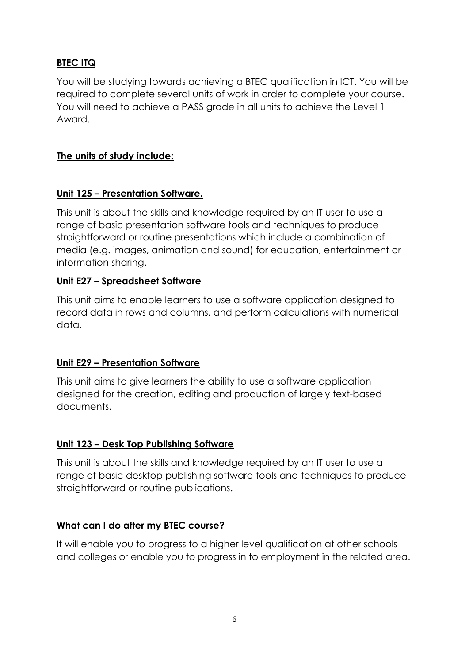# **BTEC ITQ**

You will be studying towards achieving a BTEC qualification in ICT. You will be required to complete several units of work in order to complete your course. You will need to achieve a PASS grade in all units to achieve the Level 1 Award.

# **The units of study include:**

#### **Unit 125 – Presentation Software.**

This unit is about the skills and knowledge required by an IT user to use a range of basic presentation software tools and techniques to produce straightforward or routine presentations which include a combination of media (e.g. images, animation and sound) for education, entertainment or information sharing.

### **Unit E27 – Spreadsheet Software**

This unit aims to enable learners to use a software application designed to record data in rows and columns, and perform calculations with numerical data.

#### **Unit E29 – Presentation Software**

This unit aims to give learners the ability to use a software application designed for the creation, editing and production of largely text-based documents.

#### **Unit 123 – Desk Top Publishing Software**

This unit is about the skills and knowledge required by an IT user to use a range of basic desktop publishing software tools and techniques to produce straightforward or routine publications.

#### **What can I do after my BTEC course?**

It will enable you to progress to a higher level qualification at other schools and colleges or enable you to progress in to employment in the related area.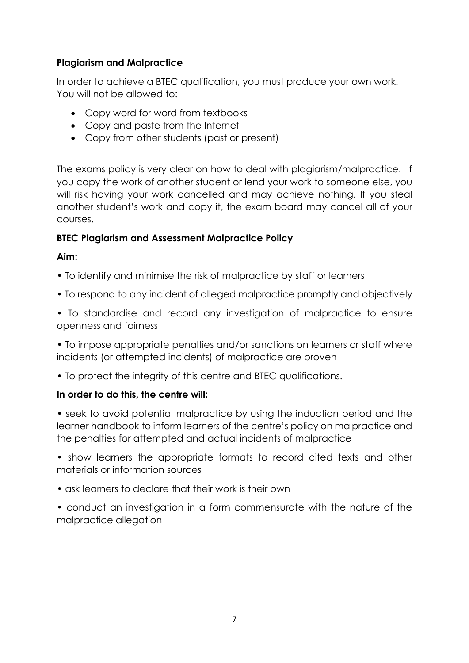# **Plagiarism and Malpractice**

In order to achieve a BTEC qualification, you must produce your own work. You will not be allowed to:

- Copy word for word from textbooks
- Copy and paste from the Internet
- Copy from other students (past or present)

The exams policy is very clear on how to deal with plagiarism/malpractice. If you copy the work of another student or lend your work to someone else, you will risk having your work cancelled and may achieve nothing. If you steal another student's work and copy it, the exam board may cancel all of your courses.

# **BTEC Plagiarism and Assessment Malpractice Policy**

# **Aim:**

- To identify and minimise the risk of malpractice by staff or learners
- To respond to any incident of alleged malpractice promptly and objectively
- To standardise and record any investigation of malpractice to ensure openness and fairness

• To impose appropriate penalties and/or sanctions on learners or staff where incidents (or attempted incidents) of malpractice are proven

• To protect the integrity of this centre and BTEC qualifications.

# **In order to do this, the centre will:**

• seek to avoid potential malpractice by using the induction period and the learner handbook to inform learners of the centre's policy on malpractice and the penalties for attempted and actual incidents of malpractice

• show learners the appropriate formats to record cited texts and other materials or information sources

- ask learners to declare that their work is their own
- conduct an investigation in a form commensurate with the nature of the malpractice allegation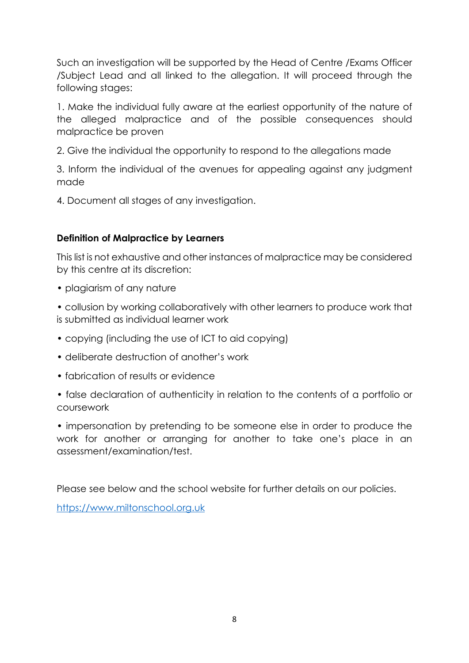Such an investigation will be supported by the Head of Centre /Exams Officer /Subject Lead and all linked to the allegation. It will proceed through the following stages:

1. Make the individual fully aware at the earliest opportunity of the nature of the alleged malpractice and of the possible consequences should malpractice be proven

2. Give the individual the opportunity to respond to the allegations made

3. Inform the individual of the avenues for appealing against any judgment made

4. Document all stages of any investigation.

# **Definition of Malpractice by Learners**

This list is not exhaustive and other instances of malpractice may be considered by this centre at its discretion:

- plagiarism of any nature
- collusion by working collaboratively with other learners to produce work that is submitted as individual learner work
- copying (including the use of ICT to aid copying)
- deliberate destruction of another's work
- fabrication of results or evidence
- false declaration of authenticity in relation to the contents of a portfolio or coursework

• impersonation by pretending to be someone else in order to produce the work for another or arranging for another to take one's place in an assessment/examination/test.

Please see below and the school website for further details on our policies.

[https://www.miltonschool.org.uk](https://www.miltonschool.org.uk/)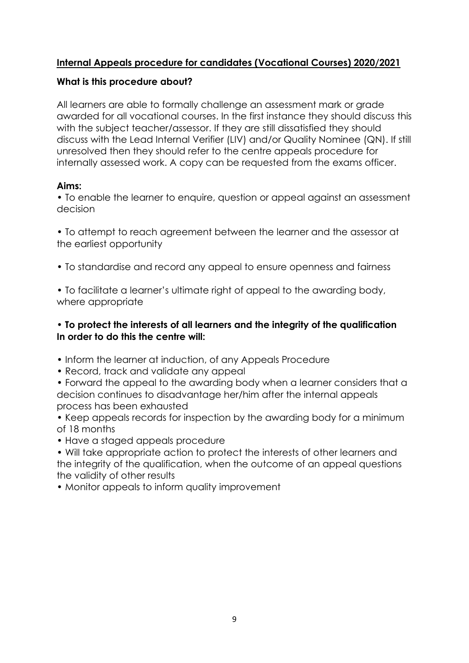# **Internal Appeals procedure for candidates (Vocational Courses) 2020/2021**

#### **What is this procedure about?**

All learners are able to formally challenge an assessment mark or grade awarded for all vocational courses. In the first instance they should discuss this with the subject teacher/assessor. If they are still dissatisfied they should discuss with the Lead Internal Verifier (LIV) and/or Quality Nominee (QN). If still unresolved then they should refer to the centre appeals procedure for internally assessed work. A copy can be requested from the exams officer.

### **Aims:**

• To enable the learner to enquire, question or appeal against an assessment decision

• To attempt to reach agreement between the learner and the assessor at the earliest opportunity

• To standardise and record any appeal to ensure openness and fairness

• To facilitate a learner's ultimate right of appeal to the awarding body, where appropriate

### **• To protect the interests of all learners and the integrity of the qualification In order to do this the centre will:**

- Inform the learner at induction, of any Appeals Procedure
- Record, track and validate any appeal
- Forward the appeal to the awarding body when a learner considers that a decision continues to disadvantage her/him after the internal appeals process has been exhausted

• Keep appeals records for inspection by the awarding body for a minimum of 18 months

• Have a staged appeals procedure

• Will take appropriate action to protect the interests of other learners and the integrity of the qualification, when the outcome of an appeal questions the validity of other results

• Monitor appeals to inform quality improvement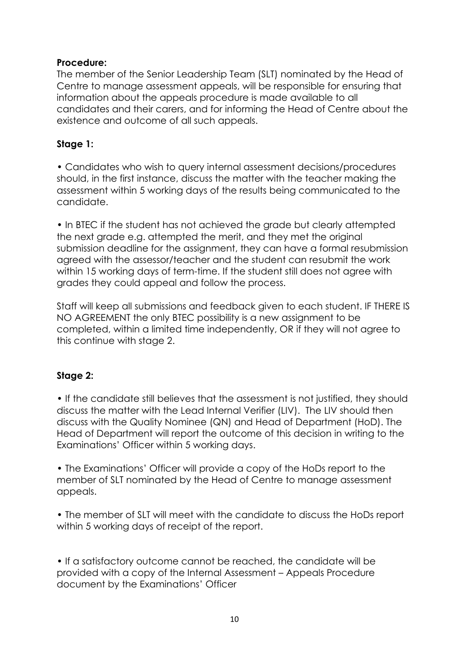#### **Procedure:**

The member of the Senior Leadership Team (SLT) nominated by the Head of Centre to manage assessment appeals, will be responsible for ensuring that information about the appeals procedure is made available to all candidates and their carers, and for informing the Head of Centre about the existence and outcome of all such appeals.

# **Stage 1:**

• Candidates who wish to query internal assessment decisions/procedures should, in the first instance, discuss the matter with the teacher making the assessment within 5 working days of the results being communicated to the candidate.

• In BTEC if the student has not achieved the grade but clearly attempted the next grade e.g. attempted the merit, and they met the original submission deadline for the assignment, they can have a formal resubmission agreed with the assessor/teacher and the student can resubmit the work within 15 working days of term-time. If the student still does not agree with grades they could appeal and follow the process.

Staff will keep all submissions and feedback given to each student. IF THERE IS NO AGREEMENT the only BTEC possibility is a new assignment to be completed, within a limited time independently, OR if they will not agree to this continue with stage 2.

# **Stage 2:**

• If the candidate still believes that the assessment is not justified, they should discuss the matter with the Lead Internal Verifier (LIV). The LIV should then discuss with the Quality Nominee (QN) and Head of Department (HoD). The Head of Department will report the outcome of this decision in writing to the Examinations' Officer within 5 working days.

• The Examinations' Officer will provide a copy of the HoDs report to the member of SLT nominated by the Head of Centre to manage assessment appeals.

• The member of SLT will meet with the candidate to discuss the HoDs report within 5 working days of receipt of the report.

• If a satisfactory outcome cannot be reached, the candidate will be provided with a copy of the Internal Assessment – Appeals Procedure document by the Examinations' Officer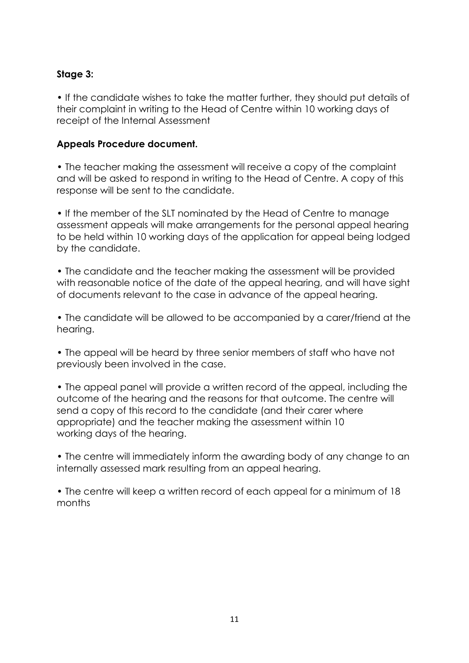# **Stage 3:**

• If the candidate wishes to take the matter further, they should put details of their complaint in writing to the Head of Centre within 10 working days of receipt of the Internal Assessment

#### **Appeals Procedure document.**

• The teacher making the assessment will receive a copy of the complaint and will be asked to respond in writing to the Head of Centre. A copy of this response will be sent to the candidate.

• If the member of the SLT nominated by the Head of Centre to manage assessment appeals will make arrangements for the personal appeal hearing to be held within 10 working days of the application for appeal being lodged by the candidate.

• The candidate and the teacher making the assessment will be provided with reasonable notice of the date of the appeal hearing, and will have sight of documents relevant to the case in advance of the appeal hearing.

• The candidate will be allowed to be accompanied by a carer/friend at the hearing.

• The appeal will be heard by three senior members of staff who have not previously been involved in the case.

• The appeal panel will provide a written record of the appeal, including the outcome of the hearing and the reasons for that outcome. The centre will send a copy of this record to the candidate (and their carer where appropriate) and the teacher making the assessment within 10 working days of the hearing.

• The centre will immediately inform the awarding body of any change to an internally assessed mark resulting from an appeal hearing.

• The centre will keep a written record of each appeal for a minimum of 18 months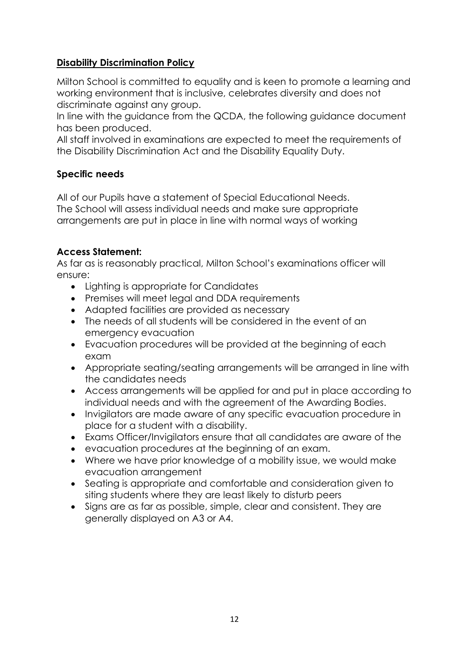### **Disability Discrimination Policy**

Milton School is committed to equality and is keen to promote a learning and working environment that is inclusive, celebrates diversity and does not discriminate against any group.

In line with the guidance from the QCDA, the following guidance document has been produced.

All staff involved in examinations are expected to meet the requirements of the Disability Discrimination Act and the Disability Equality Duty.

# **Specific needs**

All of our Pupils have a statement of Special Educational Needs. The School will assess individual needs and make sure appropriate arrangements are put in place in line with normal ways of working

### **Access Statement:**

As far as is reasonably practical, Milton School's examinations officer will ensure:

- Lighting is appropriate for Candidates
- Premises will meet legal and DDA requirements
- Adapted facilities are provided as necessary
- The needs of all students will be considered in the event of an emergency evacuation
- Evacuation procedures will be provided at the beginning of each exam
- Appropriate seating/seating arrangements will be arranged in line with the candidates needs
- Access arrangements will be applied for and put in place according to individual needs and with the agreement of the Awarding Bodies.
- Invigilators are made aware of any specific evacuation procedure in place for a student with a disability.
- Exams Officer/Invigilators ensure that all candidates are aware of the
- evacuation procedures at the beginning of an exam.
- Where we have prior knowledge of a mobility issue, we would make evacuation arrangement
- Seating is appropriate and comfortable and consideration given to siting students where they are least likely to disturb peers
- Signs are as far as possible, simple, clear and consistent. They are generally displayed on A3 or A4.